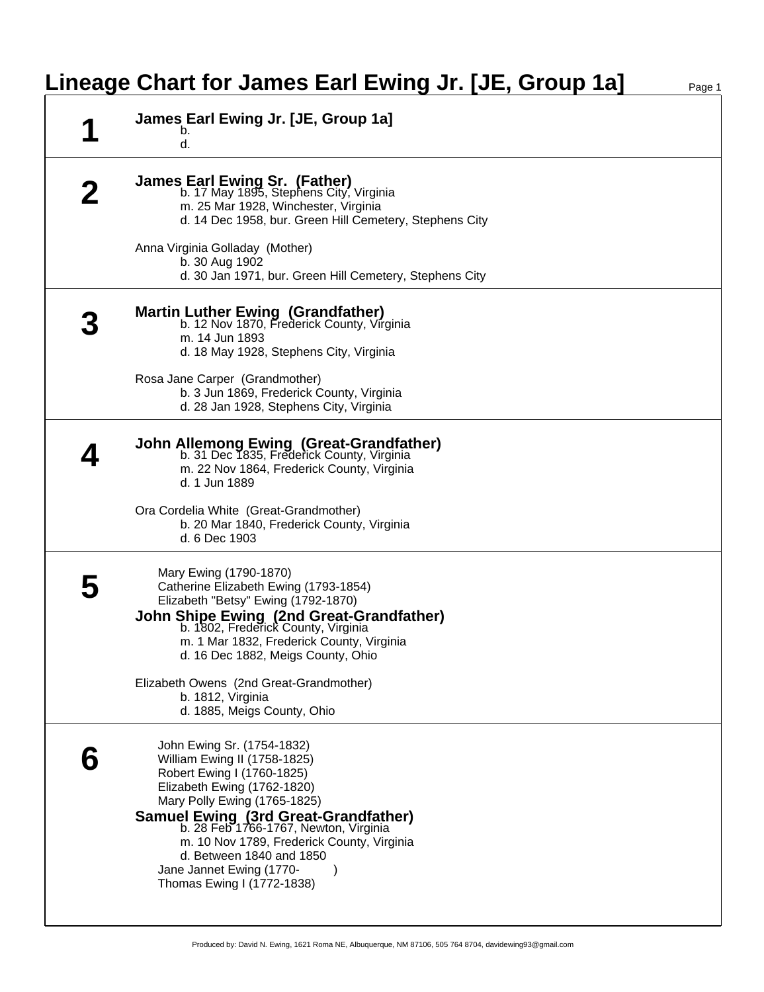## **Lineage Chart for James Earl Ewing Jr. [JE, Group 1a]** Page 1

| James Earl Ewing Jr. [JE, Group 1a]<br>b.<br>d.                                                                                                                                                                                                                                                                                                                                     |
|-------------------------------------------------------------------------------------------------------------------------------------------------------------------------------------------------------------------------------------------------------------------------------------------------------------------------------------------------------------------------------------|
| <b>James Earl Ewing Sr. (Father)</b><br>b. 17 May 1895, Stephens City, Virginia<br>m. 25 Mar 1928, Winchester, Virginia<br>d. 14 Dec 1958, bur. Green Hill Cemetery, Stephens City                                                                                                                                                                                                  |
| Anna Virginia Golladay (Mother)<br>b. 30 Aug 1902<br>d. 30 Jan 1971, bur. Green Hill Cemetery, Stephens City                                                                                                                                                                                                                                                                        |
| <b>Martin Luther Ewing (Grandfather)</b><br>b. 12 Nov 1870, Frederick County, Virginia<br>m. 14 Jun 1893<br>d. 18 May 1928, Stephens City, Virginia                                                                                                                                                                                                                                 |
| Rosa Jane Carper (Grandmother)<br>b. 3 Jun 1869, Frederick County, Virginia<br>d. 28 Jan 1928, Stephens City, Virginia                                                                                                                                                                                                                                                              |
| <b>John Allemong Ewing (Great-Grandfather)</b><br>b. 31 Dec 1835, Frederick County, Virginia<br>m. 22 Nov 1864, Frederick County, Virginia<br>d. 1 Jun 1889                                                                                                                                                                                                                         |
| Ora Cordelia White (Great-Grandmother)<br>b. 20 Mar 1840, Frederick County, Virginia<br>d. 6 Dec 1903                                                                                                                                                                                                                                                                               |
| Mary Ewing (1790-1870)<br>Catherine Elizabeth Ewing (1793-1854)<br>Elizabeth "Betsy" Ewing (1792-1870)<br><b>John Shipe Ewing (2nd Great-Grandfather)</b><br>b. 1802, Frederick County, Virginia<br>m. 1 Mar 1832, Frederick County, Virginia<br>d. 16 Dec 1882, Meigs County, Ohio                                                                                                 |
| Elizabeth Owens (2nd Great-Grandmother)<br>b. 1812, Virginia<br>d. 1885, Meigs County, Ohio                                                                                                                                                                                                                                                                                         |
| John Ewing Sr. (1754-1832)<br>William Ewing II (1758-1825)<br>Robert Ewing I (1760-1825)<br>Elizabeth Ewing (1762-1820)<br>Mary Polly Ewing (1765-1825)<br><b>Samuel Ewing (3rd Great-Grandfather)</b><br>b. 28 Feb 1766-1767, Newton, Virginia<br>m. 10 Nov 1789, Frederick County, Virginia<br>d. Between 1840 and 1850<br>Jane Jannet Ewing (1770-<br>Thomas Ewing I (1772-1838) |